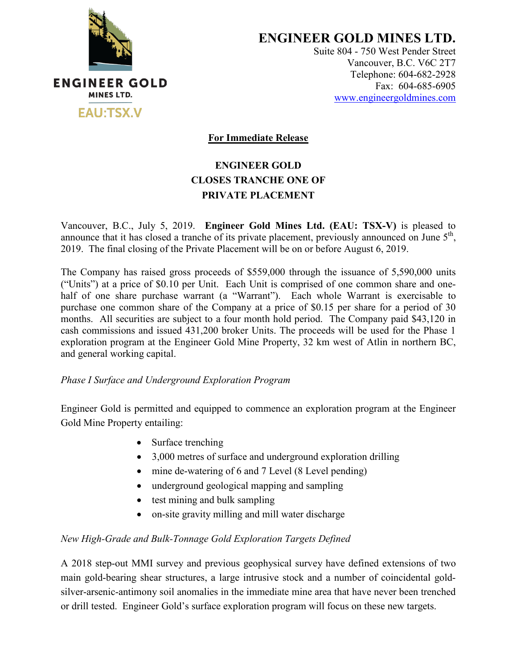

**ENGINEER GOLD MINES LTD.**

Suite 804 - 750 West Pender Street Vancouver, B.C. V6C 2T7 Telephone: 604-682-2928 Fax: 604-685-6905 www.engineergoldmines.com

**For Immediate Release**

# **ENGINEER GOLD CLOSES TRANCHE ONE OF PRIVATE PLACEMENT**

Vancouver, B.C., July 5, 2019. **Engineer Gold Mines Ltd. (EAU: TSX-V)** is pleased to announce that it has closed a tranche of its private placement, previously announced on June  $5<sup>th</sup>$ , 2019. The final closing of the Private Placement will be on or before August 6, 2019.

The Company has raised gross proceeds of \$559,000 through the issuance of 5,590,000 units ("Units") at a price of \$0.10 per Unit. Each Unit is comprised of one common share and onehalf of one share purchase warrant (a "Warrant"). Each whole Warrant is exercisable to purchase one common share of the Company at a price of \$0.15 per share for a period of 30 months. All securities are subject to a four month hold period. The Company paid \$43,120 in cash commissions and issued 431,200 broker Units. The proceeds will be used for the Phase 1 exploration program at the Engineer Gold Mine Property, 32 km west of Atlin in northern BC, and general working capital.

*Phase I Surface and Underground Exploration Program*

Engineer Gold is permitted and equipped to commence an exploration program at the Engineer Gold Mine Property entailing:

- Surface trenching
- 3,000 metres of surface and underground exploration drilling
- mine de-watering of 6 and 7 Level (8 Level pending)
- underground geological mapping and sampling
- test mining and bulk sampling
- on-site gravity milling and mill water discharge

## *New High-Grade and Bulk-Tonnage Gold Exploration Targets Defined*

A 2018 step-out MMI survey and previous geophysical survey have defined extensions of two main gold-bearing shear structures, a large intrusive stock and a number of coincidental goldsilver-arsenic-antimony soil anomalies in the immediate mine area that have never been trenched or drill tested. Engineer Gold's surface exploration program will focus on these new targets.